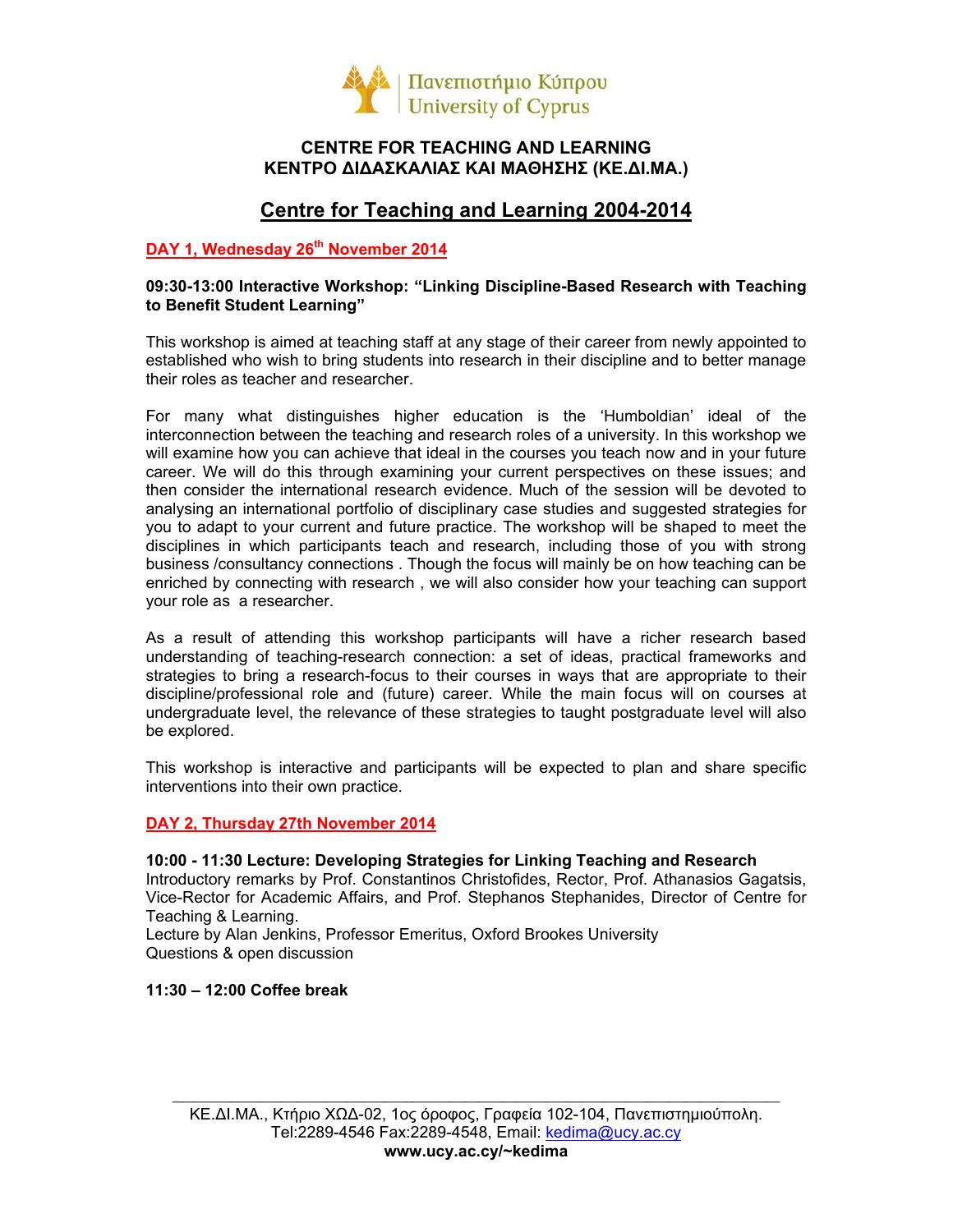

#### **CENTRE FOR TEACHING AND LEARNING ΚΕΝΤΡΟ ∆Ι∆ΑΣΚΑΛΙΑΣ ΚΑΙ ΜΑΘΗΣΗΣ (ΚΕ.∆Ι.ΜΑ.)**

# **Centre for Teaching and Learning 2004-2014**

## **DAY 1, Wednesday 26th November 2014**

#### **09:30-13:00 Interactive Workshop: "Linking Discipline-Based Research with Teaching to Benefit Student Learning"**

This workshop is aimed at teaching staff at any stage of their career from newly appointed to established who wish to bring students into research in their discipline and to better manage their roles as teacher and researcher.

For many what distinguishes higher education is the 'Humboldian' ideal of the interconnection between the teaching and research roles of a university. In this workshop we will examine how you can achieve that ideal in the courses you teach now and in your future career. We will do this through examining your current perspectives on these issues; and then consider the international research evidence. Much of the session will be devoted to analysing an international portfolio of disciplinary case studies and suggested strategies for you to adapt to your current and future practice. The workshop will be shaped to meet the disciplines in which participants teach and research, including those of you with strong business /consultancy connections . Though the focus will mainly be on how teaching can be enriched by connecting with research , we will also consider how your teaching can support your role as a researcher.

As a result of attending this workshop participants will have a richer research based understanding of teaching-research connection: a set of ideas, practical frameworks and strategies to bring a research-focus to their courses in ways that are appropriate to their discipline/professional role and (future) career. While the main focus will on courses at undergraduate level, the relevance of these strategies to taught postgraduate level will also be explored.

This workshop is interactive and participants will be expected to plan and share specific interventions into their own practice.

#### **DAY 2, Thursday 27th November 2014**

**10:00 - 11:30 Lecture: Developing Strategies for Linking Teaching and Research**  Introductory remarks by Prof. Constantinos Christofides, Rector, Prof. Athanasios Gagatsis, Vice-Rector for Academic Affairs, and Prof. Stephanos Stephanides, Director of Centre for Teaching & Learning.

Lecture by Alan Jenkins, Professor Emeritus, Oxford Brookes University Questions & open discussion

**11:30 – 12:00 Coffee break**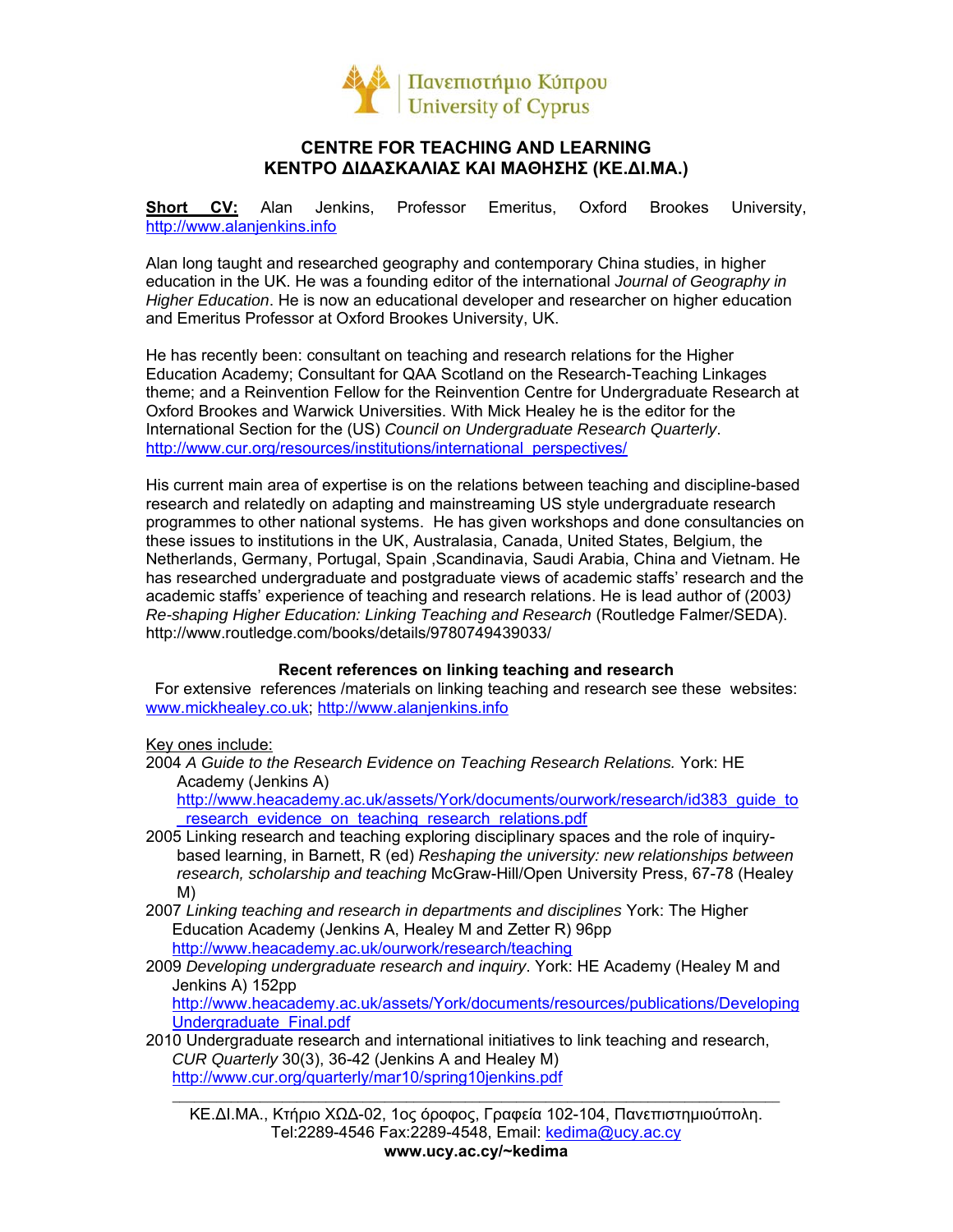

#### **CENTRE FOR TEACHING AND LEARNING ΚΕΝΤΡΟ ∆Ι∆ΑΣΚΑΛΙΑΣ ΚΑΙ ΜΑΘΗΣΗΣ (ΚΕ.∆Ι.ΜΑ.)**

**Short CV:** Alan Jenkins, Professor Emeritus, Oxford Brookes University, http://www.alanjenkins.info

Alan long taught and researched geography and contemporary China studies, in higher education in the UK. He was a founding editor of the international *Journal of Geography in Higher Education*. He is now an educational developer and researcher on higher education and Emeritus Professor at Oxford Brookes University, UK.

He has recently been: consultant on teaching and research relations for the Higher Education Academy; Consultant for QAA Scotland on the Research-Teaching Linkages theme; and a Reinvention Fellow for the Reinvention Centre for Undergraduate Research at Oxford Brookes and Warwick Universities. With Mick Healey he is the editor for the International Section for the (US) *Council on Undergraduate Research Quarterly*. http://www.cur.org/resources/institutions/international\_perspectives/

His current main area of expertise is on the relations between teaching and discipline-based research and relatedly on adapting and mainstreaming US style undergraduate research programmes to other national systems. He has given workshops and done consultancies on these issues to institutions in the UK, Australasia, Canada, United States, Belgium, the Netherlands, Germany, Portugal, Spain ,Scandinavia, Saudi Arabia, China and Vietnam. He has researched undergraduate and postgraduate views of academic staffs' research and the academic staffs' experience of teaching and research relations. He is lead author of (2003*) Re-shaping Higher Education: Linking Teaching and Research* (Routledge Falmer/SEDA). http://www.routledge.com/books/details/9780749439033/

#### **Recent references on linking teaching and research**

For extensive references /materials on linking teaching and research see these websites: www.mickhealey.co.uk; http://www.alanjenkins.info

Key ones include:

2004 *A Guide to the Research Evidence on Teaching Research Relations.* York: HE Academy (Jenkins A)

http://www.heacademy.ac.uk/assets/York/documents/ourwork/research/id383\_quide\_to research\_evidence\_on\_teaching\_research\_relations.pdf

- 2005 Linking research and teaching exploring disciplinary spaces and the role of inquirybased learning, in Barnett, R (ed) *Reshaping the university: new relationships between research, scholarship and teaching* McGraw-Hill/Open University Press, 67-78 (Healey M)
- 2007 *Linking teaching and research in departments and disciplines* York: The Higher Education Academy (Jenkins A, Healey M and Zetter R) 96pp http://www.heacademy.ac.uk/ourwork/research/teaching
- 2009 *Developing undergraduate research and inquiry*. York: HE Academy (Healey M and Jenkins A) 152pp

http://www.heacademy.ac.uk/assets/York/documents/resources/publications/Developing Undergraduate\_Final.pdf

2010 Undergraduate research and international initiatives to link teaching and research, *CUR Quarterly* 30(3), 36-42 (Jenkins A and Healey M) http://www.cur.org/quarterly/mar10/spring10jenkins.pdf

\_\_\_\_\_\_\_\_\_\_\_\_\_\_\_\_\_\_\_\_\_\_\_\_\_\_\_\_\_\_\_\_\_\_\_\_\_\_\_\_\_\_\_\_\_\_\_\_\_\_\_\_\_\_\_\_\_\_\_\_\_\_\_\_\_\_\_\_\_\_\_\_\_\_\_\_\_\_\_\_\_\_\_ ΚΕ.∆Ι.ΜΑ., Κτήριο ΧΩ∆-02, 1ος όροφος, Γραφεία 102-104, Πανεπιστημιούπολη. Τel:2289-4546 Fax:2289-4548, Email: kedima@ucy.ac.cy

**www.ucy.ac.cy/~kedima**